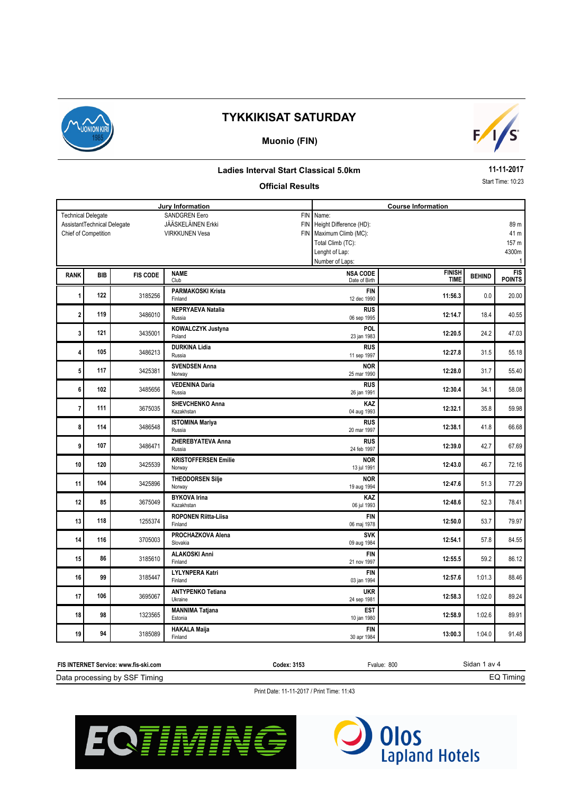

## **Muonio (FIN)**



### **Ladies Interval Start Classical 5.0km**

### **Official Results**

**11-11-2017**

Start Time: 10:23

|                         | Jury Information                                    |                 |                                                   |            | <b>Course Information</b>                    |                              |               |                             |  |  |
|-------------------------|-----------------------------------------------------|-----------------|---------------------------------------------------|------------|----------------------------------------------|------------------------------|---------------|-----------------------------|--|--|
|                         | <b>Technical Delegate</b>                           |                 | <b>SANDGREN Eero</b><br><b>JÄÄSKELÄINEN Erkki</b> | <b>FIN</b> | Name:<br>FIN Height Difference (HD):<br>89 m |                              |               |                             |  |  |
|                         | AssistantTechnical Delegate<br>Chief of Competition |                 | <b>VIRKKUNEN Vesa</b>                             |            | FIN Maximum Climb (MC):<br>41 m              |                              |               |                             |  |  |
|                         |                                                     |                 |                                                   |            | Total Climb (TC):<br>157 m                   |                              |               |                             |  |  |
|                         |                                                     |                 |                                                   |            | Lenght of Lap:                               |                              |               | 4300m                       |  |  |
|                         |                                                     |                 |                                                   |            | Number of Laps:                              |                              |               | $\mathbf{1}$                |  |  |
| <b>RANK</b>             | <b>BIB</b>                                          | <b>FIS CODE</b> | <b>NAME</b><br>Club                               |            | <b>NSA CODE</b><br>Date of Birth             | <b>FINISH</b><br><b>TIME</b> | <b>BEHIND</b> | <b>FIS</b><br><b>POINTS</b> |  |  |
| 1                       | 122                                                 | 3185256         | <b>PARMAKOSKI Krista</b><br>Finland               |            | <b>FIN</b><br>12 dec 1990                    | 11:56.3                      | 0.0           | 20.00                       |  |  |
| $\overline{\mathbf{2}}$ | 119                                                 | 3486010         | <b>NEPRYAEVA Natalia</b><br>Russia                |            | <b>RUS</b><br>06 sep 1995                    | 12:14.7                      | 18.4          | 40.55                       |  |  |
| 3                       | 121                                                 | 3435001         | KOWALCZYK Justyna<br>Poland                       |            | POL<br>23 jan 1983                           | 12:20.5                      | 24.2          | 47.03                       |  |  |
| 4                       | 105                                                 | 3486213         | <b>DURKINA Lidia</b><br>Russia                    |            | <b>RUS</b><br>11 sep 1997                    | 12:27.8                      | 31.5          | 55.18                       |  |  |
| 5                       | 117                                                 | 3425381         | <b>SVENDSEN Anna</b><br>Norway                    |            | <b>NOR</b><br>25 mar 1990                    | 12:28.0                      | 31.7          | 55.40                       |  |  |
| 6                       | 102                                                 | 3485656         | <b>VEDENINA Daria</b><br>Russia                   |            | <b>RUS</b><br>26 jan 1991                    | 12:30.4                      | 34.1          | 58.08                       |  |  |
| $\overline{7}$          | 111                                                 | 3675035         | <b>SHEVCHENKO Anna</b><br>Kazakhstan              |            | KAZ<br>04 aug 1993                           | 12:32.1                      | 35.8          | 59.98                       |  |  |
| 8                       | 114                                                 | 3486548         | <b>ISTOMINA Mariya</b><br>Russia                  |            | <b>RUS</b><br>20 mar 1997                    | 12:38.1                      | 41.8          | 66.68                       |  |  |
| 9                       | 107                                                 | 3486471         | ZHEREBYATEVA Anna<br>Russia                       |            | <b>RUS</b><br>24 feb 1997                    | 12:39.0                      | 42.7          | 67.69                       |  |  |
| 10                      | 120                                                 | 3425539         | <b>KRISTOFFERSEN Emilie</b><br>Norway             |            | <b>NOR</b><br>13 jul 1991                    | 12:43.0                      | 46.7          | 72.16                       |  |  |
| 11                      | 104                                                 | 3425896         | <b>THEODORSEN Silje</b><br>Norway                 |            | <b>NOR</b><br>19 aug 1994                    | 12:47.6                      | 51.3          | 77.29                       |  |  |
| 12                      | 85                                                  | 3675049         | <b>BYKOVA Irina</b><br>Kazakhstan                 |            | KAZ<br>06 jul 1993                           | 12:48.6                      | 52.3          | 78.41                       |  |  |
| 13                      | 118                                                 | 1255374         | <b>ROPONEN Riitta-Liisa</b><br>Finland            |            | <b>FIN</b><br>06 maj 1978                    | 12:50.0                      | 53.7          | 79.97                       |  |  |
| 14                      | 116                                                 | 3705003         | PROCHAZKOVA Alena<br>Slovakia                     |            | <b>SVK</b><br>09 aug 1984                    | 12:54.1                      | 57.8          | 84.55                       |  |  |
| 15                      | 86                                                  | 3185610         | <b>ALAKOSKI Anni</b><br>Finland                   |            | <b>FIN</b><br>21 nov 1997                    | 12:55.5                      | 59.2          | 86.12                       |  |  |
| 16                      | 99                                                  | 3185447         | <b>LYLYNPERA Katri</b><br>Finland                 |            | <b>FIN</b><br>03 jan 1994                    | 12:57.6                      | 1:01.3        | 88.46                       |  |  |
| 17                      | 106                                                 | 3695067         | <b>ANTYPENKO Tetiana</b><br>Ukraine               |            | <b>UKR</b><br>24 sep 1981                    | 12:58.3                      | 1:02.0        | 89.24                       |  |  |
| 18                      | 98                                                  | 1323565         | <b>MANNIMA Tatjana</b><br>Estonia                 |            | <b>EST</b><br>10 jan 1980                    | 12:58.9                      | 1:02.6        | 89.91                       |  |  |
| 19                      | 94                                                  | 3185089         | <b>HAKALA Maija</b><br>Finland                    |            | <b>FIN</b><br>30 apr 1984                    | 13:00.3                      | 1:04.0        | 91.48                       |  |  |

| FIS INTERNET Service: www.fis-ski.com | Codex: 3153 | Fvalue: 800 | Sidan 1 av 4  |  |
|---------------------------------------|-------------|-------------|---------------|--|
| Data processing by SSF Timing         |             |             | <b>Timing</b> |  |



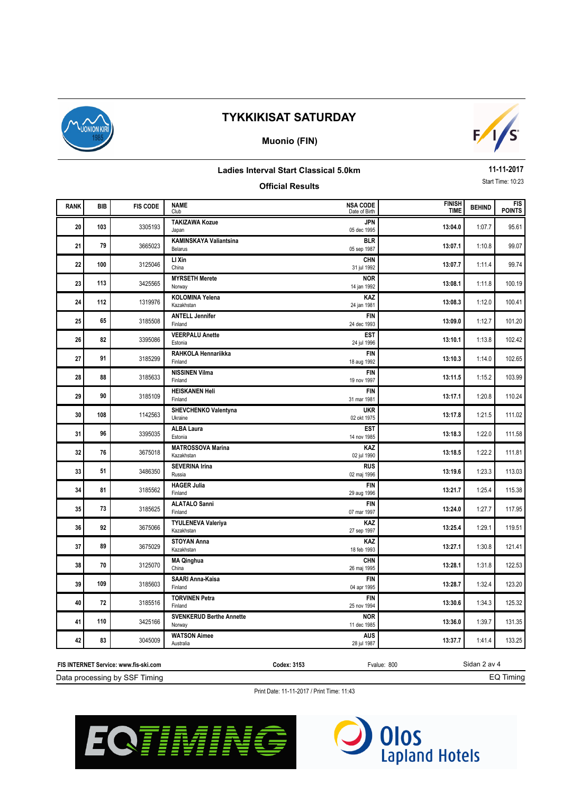

## **Muonio (FIN)**



#### **Ladies Interval Start Classical 5.0km**

## **Official Results**

**11-11-2017** Start Time: 10:23

| <b>RANK</b> | <b>BIB</b> | <b>FIS CODE</b> | <b>NAME</b>                               | <b>NSA CODE</b>             | <b>FINISH</b> | <b>BEHIND</b> | <b>FIS</b>    |
|-------------|------------|-----------------|-------------------------------------------|-----------------------------|---------------|---------------|---------------|
|             |            |                 | Club<br><b>TAKIZAWA Kozue</b>             | Date of Birth<br><b>JPN</b> | <b>TIME</b>   |               | <b>POINTS</b> |
| 20          | 103        | 3305193         | Japan                                     | 05 dec 1995                 | 13:04.0       | 1:07.7        | 95.61         |
| 21          | 79         | 3665023         | <b>KAMINSKAYA Valiantsina</b><br>Belarus  | <b>BLR</b><br>05 sep 1987   | 13:07.1       | 1:10.8        | 99.07         |
| 22          | 100        | 3125046         | LI Xin<br>China                           | <b>CHN</b><br>31 jul 1992   | 13:07.7       | 1:11.4        | 99.74         |
| 23          | 113        | 3425565         | <b>MYRSETH Merete</b><br>Norway           | <b>NOR</b><br>14 jan 1992   | 13:08.1       | 1:11.8        | 100.19        |
| 24          | 112        | 1319976         | <b>KOLOMINA Yelena</b><br>Kazakhstan      | KAZ<br>24 jan 1981          | 13:08.3       | 1:12.0        | 100.41        |
| 25          | 65         | 3185508         | <b>ANTELL Jennifer</b><br>Finland         | <b>FIN</b><br>24 dec 1993   | 13:09.0       | 1:12.7        | 101.20        |
| 26          | 82         | 3395086         | <b>VEERPALU Anette</b><br>Estonia         | <b>EST</b><br>24 jul 1996   | 13:10.1       | 1:13.8        | 102.42        |
| 27          | 91         | 3185299         | RAHKOLA Hennariikka<br>Finland            | <b>FIN</b><br>18 aug 1992   | 13:10.3       | 1:14.0        | 102.65        |
| 28          | 88         | 3185633         | <b>NISSINEN Vilma</b><br>Finland          | <b>FIN</b><br>19 nov 1997   | 13:11.5       | 1:15.2        | 103.99        |
| 29          | 90         | 3185109         | <b>HEISKANEN Heli</b><br>Finland          | <b>FIN</b><br>31 mar 1981   | 13:17.1       | 1:20.8        | 110.24        |
| 30          | 108        | 1142563         | SHEVCHENKO Valentyna<br>Ukraine           | <b>UKR</b><br>02 okt 1975   | 13:17.8       | 1:21.5        | 111.02        |
| 31          | 96         | 3395035         | <b>ALBA Laura</b><br>Estonia              | <b>EST</b><br>14 nov 1985   | 13:18.3       | 1:22.0        | 111.58        |
| 32          | 76         | 3675018         | <b>MATROSSOVA Marina</b><br>Kazakhstan    | <b>KAZ</b><br>02 jul 1990   | 13:18.5       | 1:22.2        | 111.81        |
| 33          | 51         | 3486350         | <b>SEVERINA Irina</b><br>Russia           | <b>RUS</b><br>02 maj 1996   | 13:19.6       | 1:23.3        | 113.03        |
| 34          | 81         | 3185562         | <b>HAGER Julia</b><br>Finland             | <b>FIN</b><br>29 aug 1996   | 13:21.7       | 1:25.4        | 115.38        |
| 35          | 73         | 3185625         | <b>ALATALO Sanni</b><br>Finland           | <b>FIN</b><br>07 mar 1997   | 13:24.0       | 1:27.7        | 117.95        |
| 36          | 92         | 3675066         | <b>TYULENEVA Valeriya</b><br>Kazakhstan   | KAZ<br>27 sep 1997          | 13:25.4       | 1:29.1        | 119.51        |
| 37          | 89         | 3675029         | <b>STOYAN Anna</b><br>Kazakhstan          | KAZ<br>18 feb 1993          | 13:27.1       | 1:30.8        | 121.41        |
| 38          | 70         | 3125070         | <b>MA Qinghua</b><br>China                | CHN<br>26 maj 1995          | 13:28.1       | 1:31.8        | 122.53        |
| 39          | 109        | 3185603         | SAARI Anna-Kaisa<br>Finland               | <b>FIN</b><br>04 apr 1995   | 13:28.7       | 1:32.4        | 123.20        |
| 40          | 72         | 3185516         | <b>TORVINEN Petra</b><br>Finland          | <b>FIN</b><br>25 nov 1994   | 13:30.6       | 1:34.3        | 125.32        |
| 41          | 110        | 3425166         | <b>SVENKERUD Berthe Annette</b><br>Norway | <b>NOR</b><br>11 dec 1985   | 13:36.0       | 1:39.7        | 131.35        |
| 42          | 83         | 3045009         | <b>WATSON Aimee</b><br>Australia          | <b>AUS</b><br>28 jul 1987   | 13:37.7       | 1:41.4        | 133.25        |

Sidan 2 av 4 Data processing by SSF Timing **FIS INTERNET Service: www.fis-ski.com Codex: 3153** Fvalue: 800

EQ Timing



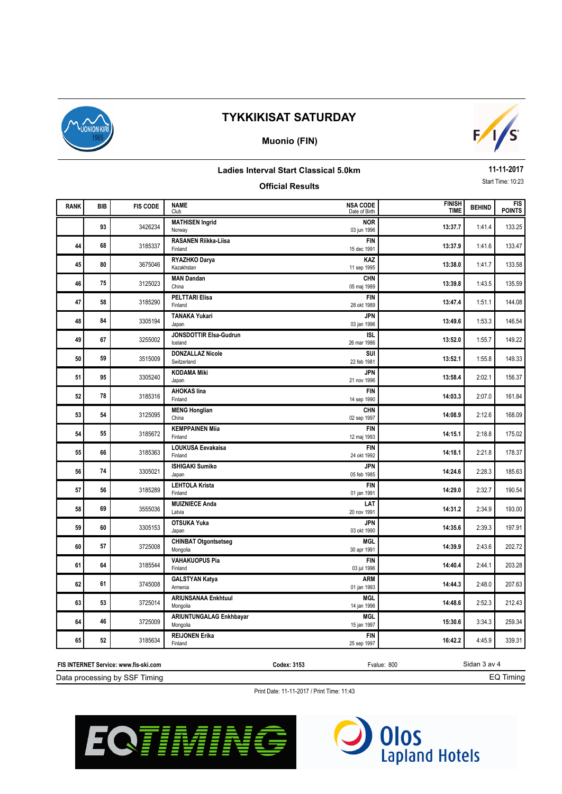

## **Muonio (FIN)**



### **Ladies Interval Start Classical 5.0km**

## **Official Results**

**11-11-2017** Start Time: 10:23

| <b>RANK</b> | BIB | <b>FIS CODE</b> | <b>NAME</b><br>Club                        | <b>NSA CODE</b><br>Date of Birth | <b>FINISH</b><br><b>TIME</b> | <b>BEHIND</b> | <b>FIS</b><br><b>POINTS</b> |
|-------------|-----|-----------------|--------------------------------------------|----------------------------------|------------------------------|---------------|-----------------------------|
|             | 93  | 3426234         | <b>MATHISEN Ingrid</b><br>Norway           | <b>NOR</b><br>03 jun 1996        | 13:37.7                      | 1:41.4        | 133.25                      |
| 44          | 68  | 3185337         | <b>RASANEN Riikka-Liisa</b><br>Finland     | <b>FIN</b><br>15 dec 1991        | 13:37.9                      | 1:41.6        | 133.47                      |
| 45          | 80  | 3675046         | RYAZHKO Darya<br>Kazakhstan                | <b>KAZ</b><br>11 sep 1995        | 13:38.0                      | 1:41.7        | 133.58                      |
| 46          | 75  | 3125023         | <b>MAN Dandan</b><br>China                 | <b>CHN</b><br>05 maj 1989        | 13:39.8                      | 1:43.5        | 135.59                      |
| 47          | 58  | 3185290         | <b>PELTTARI Elisa</b><br>Finland           | <b>FIN</b><br>28 okt 1989        | 13:47.4                      | 1:51.1        | 144.08                      |
| 48          | 84  | 3305194         | <b>TANAKA Yukari</b><br>Japan              | <b>JPN</b><br>03 jan 1996        | 13:49.6                      | 1:53.3        | 146.54                      |
| 49          | 67  | 3255002         | JONSDOTTIR Elsa-Gudrun<br>Iceland          | <b>ISL</b><br>26 mar 1986        | 13:52.0                      | 1:55.7        | 149.22                      |
| 50          | 59  | 3515009         | <b>DONZALLAZ Nicole</b><br>Switzerland     | SUI<br>22 feb 1981               | 13:52.1                      | 1:55.8        | 149.33                      |
| 51          | 95  | 3305240         | <b>KODAMA Miki</b><br>Japan                | <b>JPN</b><br>21 nov 1996        | 13:58.4                      | 2:02.1        | 156.37                      |
| 52          | 78  | 3185316         | <b>AHOKAS lina</b><br>Finland              | <b>FIN</b><br>14 sep 1990        | 14:03.3                      | 2:07.0        | 161.84                      |
| 53          | 54  | 3125095         | <b>MENG Honglian</b><br>China              | <b>CHN</b><br>02 sep 1997        | 14:08.9                      | 2:12.6        | 168.09                      |
| 54          | 55  | 3185672         | <b>KEMPPAINEN Mija</b><br>Finland          | <b>FIN</b><br>12 maj 1993        | 14:15.1                      | 2:18.8        | 175.02                      |
| 55          | 66  | 3185363         | LOUKUSA Eevakaisa<br>Finland               | <b>FIN</b><br>24 okt 1992        | 14:18.1                      | 2:21.8        | 178.37                      |
| 56          | 74  | 3305021         | <b>ISHIGAKI Sumiko</b><br>Japan            | <b>JPN</b><br>05 feb 1985        | 14:24.6                      | 2:28.3        | 185.63                      |
| 57          | 56  | 3185289         | <b>LEHTOLA Krista</b><br>Finland           | <b>FIN</b><br>01 jan 1991        | 14:29.0                      | 2:32.7        | 190.54                      |
| 58          | 69  | 3555036         | <b>MUIZNIECE Anda</b><br>Latvia            | LAT<br>20 nov 1991               | 14:31.2                      | 2:34.9        | 193.00                      |
| 59          | 60  | 3305153         | <b>OTSUKA Yuka</b><br>Japan                | <b>JPN</b><br>03 okt 1990        | 14:35.6                      | 2:39.3        | 197.91                      |
| 60          | 57  | 3725008         | <b>CHINBAT Otgontsetseg</b><br>Mongolia    | <b>MGL</b><br>30 apr 1991        | 14:39.9                      | 2:43.6        | 202.72                      |
| 61          | 64  | 3185544         | <b>VAHAKUOPUS Pia</b><br>Finland           | <b>FIN</b><br>03 jul 1996        | 14:40.4                      | 2:44.1        | 203.28                      |
| 62          | 61  | 3745008         | <b>GALSTYAN Katya</b><br>Armenia           | <b>ARM</b><br>01 jan 1993        | 14:44.3                      | 2:48.0        | 207.63                      |
| 63          | 53  | 3725014         | <b>ARIUNSANAA Enkhtuul</b><br>Mongolia     | <b>MGL</b><br>14 jan 1996        | 14:48.6                      | 2:52.3        | 212.43                      |
| 64          | 46  | 3725009         | <b>ARIUNTUNGALAG Enkhbayar</b><br>Mongolia | <b>MGL</b><br>15 jan 1997        | 15:30.6                      | 3:34.3        | 259.34                      |
| 65          | 52  | 3185634         | <b>REIJONEN Erika</b><br>Finland           | <b>FIN</b><br>25 sep 1997        | 16:42.2                      | 4:45.9        | 339.31                      |
|             |     |                 |                                            |                                  |                              |               |                             |

Data processing by SSF Timing **FIS INTERNET Service: www.fis-ski.com Codex: 3153** Fvalue: 800 Sidan 3 av 4 EQ Timing